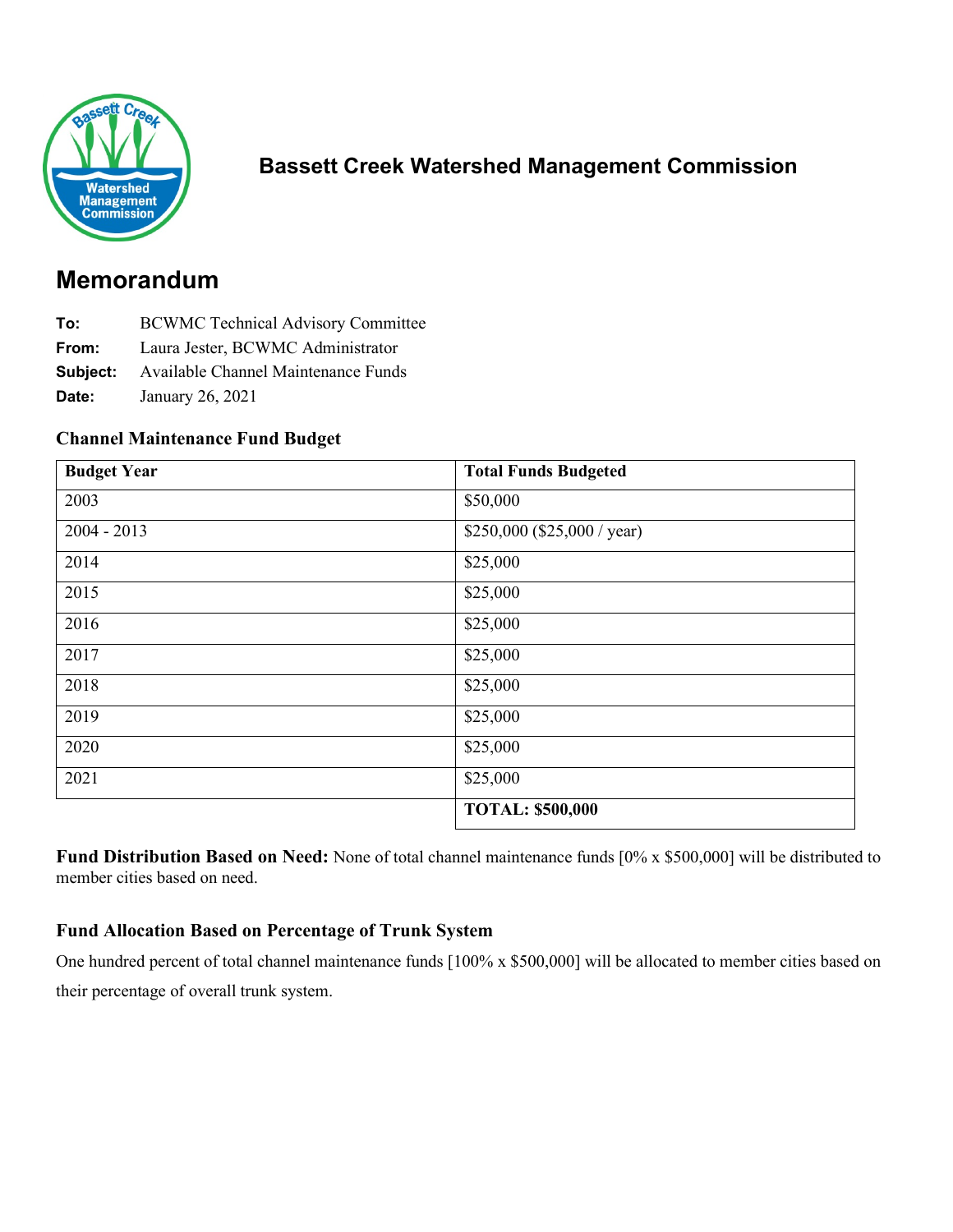

## **Bassett Creek Watershed Management Commission**

# **Memorandum**

- **To:** BCWMC Technical Advisory Committee
- **From:** Laura Jester, BCWMC Administrator
- **Subject:** Available Channel Maintenance Funds
- **Date:** January 26, 2021

#### **Channel Maintenance Fund Budget**

| <b>Budget Year</b> | <b>Total Funds Budgeted</b>  |
|--------------------|------------------------------|
| 2003               | \$50,000                     |
| $2004 - 2013$      | $$250,000$ (\$25,000 / year) |
| 2014               | \$25,000                     |
| 2015               | \$25,000                     |
| 2016               | \$25,000                     |
| 2017               | \$25,000                     |
| 2018               | \$25,000                     |
| 2019               | \$25,000                     |
| 2020               | \$25,000                     |
| 2021               | \$25,000                     |
|                    | <b>TOTAL: \$500,000</b>      |

**Fund Distribution Based on Need:** None of total channel maintenance funds [0% x \$500,000] will be distributed to member cities based on need.

#### **Fund Allocation Based on Percentage of Trunk System**

One hundred percent of total channel maintenance funds [100% x \$500,000] will be allocated to member cities based on their percentage of overall trunk system.